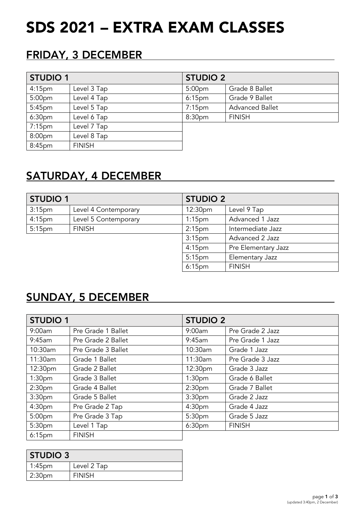# SDS 2021 – EXTRA EXAM CLASSES

### FRIDAY, 3 DECEMBER

| <b>STUDIO 1</b>    |               | <b>STUDIO 2</b>    |                        |
|--------------------|---------------|--------------------|------------------------|
| 4:15 <sub>pm</sub> | Level 3 Tap   | 5:00 <sub>pm</sub> | Grade 8 Ballet         |
| 5:00 <sub>pm</sub> | Level 4 Tap   | 6:15 <sub>pm</sub> | Grade 9 Ballet         |
| 5:45 <sub>pm</sub> | Level 5 Tap   | $7:15$ pm          | <b>Advanced Ballet</b> |
| 6:30 <sub>pm</sub> | Level 6 Tap   | 8:30pm             | <b>FINISH</b>          |
| 7:15 <sub>pm</sub> | Level 7 Tap   |                    |                        |
| 8:00 <sub>pm</sub> | Level 8 Tap   |                    |                        |
| 8:45pm             | <b>FINISH</b> |                    |                        |

## SATURDAY, 4 DECEMBER

| <b>STUDIO 1</b>    |                      | <b>STUDIO 2</b>    |                     |
|--------------------|----------------------|--------------------|---------------------|
| 3:15 <sub>pm</sub> | Level 4 Contemporary | 12:30pm            | Level 9 Tap         |
| 4:15 <sub>pm</sub> | Level 5 Contemporary | 1:15 <sub>pm</sub> | Advanced 1 Jazz     |
| 5:15 <sub>pm</sub> | <b>FINISH</b>        | 2:15 <sub>pm</sub> | Intermediate Jazz   |
|                    |                      | 3:15 <sub>pm</sub> | Advanced 2 Jazz     |
|                    |                      | 4:15 <sub>pm</sub> | Pre Elementary Jazz |
|                    |                      | $5:15$ pm          | Elementary Jazz     |
|                    |                      | $6:15$ pm          | <b>FINISH</b>       |

### SUNDAY, 5 DECEMBER

| <b>STUDIO 1</b>    |                    | <b>STUDIO 2</b>    |                  |
|--------------------|--------------------|--------------------|------------------|
| 9:00am             | Pre Grade 1 Ballet | 9:00am             | Pre Grade 2 Jazz |
| 9:45am             | Pre Grade 2 Ballet | 9:45am             | Pre Grade 1 Jazz |
| 10:30am            | Pre Grade 3 Ballet | 10:30am            | Grade 1 Jazz     |
| 11:30am            | Grade 1 Ballet     | 11:30am            | Pre Grade 3 Jazz |
| 12:30pm            | Grade 2 Ballet     | 12:30pm            | Grade 3 Jazz     |
| 1:30 <sub>pm</sub> | Grade 3 Ballet     | 1:30 <sub>pm</sub> | Grade 6 Ballet   |
| 2:30 <sub>pm</sub> | Grade 4 Ballet     | 2:30 <sub>pm</sub> | Grade 7 Ballet   |
| 3:30 <sub>pm</sub> | Grade 5 Ballet     | 3:30 <sub>pm</sub> | Grade 2 Jazz     |
| 4:30 <sub>pm</sub> | Pre Grade 2 Tap    | 4:30 <sub>pm</sub> | Grade 4 Jazz     |
| 5:00pm             | Pre Grade 3 Tap    | 5:30 <sub>pm</sub> | Grade 5 Jazz     |
| 5:30pm             | Level 1 Tap        | 6:30 <sub>pm</sub> | <b>FINISH</b>    |
| 6:15 <sub>pm</sub> | <b>FINISH</b>      |                    |                  |

| <b>STUDIO 3</b>    |               |  |
|--------------------|---------------|--|
| $1:45$ pm          | Level 2 Tap   |  |
| 2:30 <sub>pm</sub> | <b>FINISH</b> |  |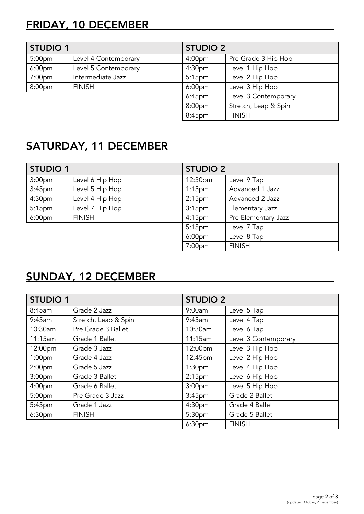# FRIDAY, 10 DECEMBER

| <b>STUDIO 1</b>    |                      | <b>STUDIO 2</b>    |                      |
|--------------------|----------------------|--------------------|----------------------|
| 5:00 <sub>pm</sub> | Level 4 Contemporary | 4:00 <sub>pm</sub> | Pre Grade 3 Hip Hop  |
| 6:00 <sub>pm</sub> | Level 5 Contemporary | 4:30 <sub>pm</sub> | Level 1 Hip Hop      |
| 7:00 <sub>pm</sub> | Intermediate Jazz    | 5:15 <sub>pm</sub> | Level 2 Hip Hop      |
| 8:00pm             | <b>FINISH</b>        | 6:00 <sub>pm</sub> | Level 3 Hip Hop      |
|                    |                      | $6:45$ pm          | Level 3 Contemporary |
|                    |                      | 8:00 <sub>pm</sub> | Stretch, Leap & Spin |
|                    |                      | 8:45pm             | <b>FINISH</b>        |

## SATURDAY, 11 DECEMBER

| <b>STUDIO 1</b>    |                 | <b>STUDIO 2</b>    |                     |
|--------------------|-----------------|--------------------|---------------------|
| 3:00 <sub>pm</sub> | Level 6 Hip Hop | 12:30pm            | Level 9 Tap         |
| 3:45 <sub>pm</sub> | Level 5 Hip Hop | 1:15 <sub>pm</sub> | Advanced 1 Jazz     |
| 4:30 <sub>pm</sub> | Level 4 Hip Hop | 2:15 <sub>pm</sub> | Advanced 2 Jazz     |
| 5:15 <sub>pm</sub> | Level 7 Hip Hop | 3:15 <sub>pm</sub> | Elementary Jazz     |
| 6:00 <sub>pm</sub> | <b>FINISH</b>   | $4:15$ pm          | Pre Elementary Jazz |
|                    |                 | 5:15 <sub>pm</sub> | Level 7 Tap         |
|                    |                 | 6:00 <sub>pm</sub> | Level 8 Tap         |
|                    |                 | 7:00 <sub>pm</sub> | <b>FINISH</b>       |

## SUNDAY, 12 DECEMBER

| <b>STUDIO 1</b>    |                      | <b>STUDIO 2</b>    |                      |
|--------------------|----------------------|--------------------|----------------------|
| 8:45am             | Grade 2 Jazz         | 9:00am             | Level 5 Tap          |
| 9:45am             | Stretch, Leap & Spin | 9:45am             | Level 4 Tap          |
| 10:30am            | Pre Grade 3 Ballet   | 10:30am            | Level 6 Tap          |
| 11:15am            | Grade 1 Ballet       | 11:15am            | Level 3 Contemporary |
| 12:00pm            | Grade 3 Jazz         | 12:00pm            | Level 3 Hip Hop      |
| 1:00 <sub>pm</sub> | Grade 4 Jazz         | 12:45pm            | Level 2 Hip Hop      |
| 2:00 <sub>pm</sub> | Grade 5 Jazz         | 1:30 <sub>pm</sub> | Level 4 Hip Hop      |
| 3:00 <sub>pm</sub> | Grade 3 Ballet       | 2:15 <sub>pm</sub> | Level 6 Hip Hop      |
| 4:00 <sub>pm</sub> | Grade 6 Ballet       | 3:00 <sub>pm</sub> | Level 5 Hip Hop      |
| 5:00 <sub>pm</sub> | Pre Grade 3 Jazz     | 3:45 <sub>pm</sub> | Grade 2 Ballet       |
| 5:45pm             | Grade 1 Jazz         | 4:30 <sub>pm</sub> | Grade 4 Ballet       |
| 6:30pm             | <b>FINISH</b>        | 5:30pm             | Grade 5 Ballet       |
|                    |                      | 6:30 <sub>pm</sub> | <b>FINISH</b>        |